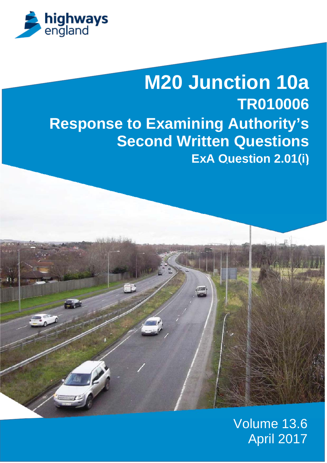

# **M20 Junction 10a TR010006 Response to Examining Authority's Second Written Questions ExA Question 2.01(i)**



### Volume 13.6 April 2017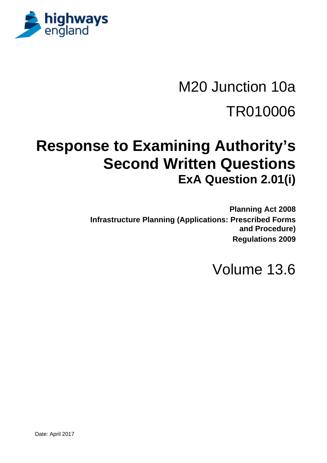

# M20 Junction 10a TR010006

## **Response to Examining Authority's Second Written Questions ExA Question 2.01(i)**

**Planning Act 2008 Infrastructure Planning (Applications: Prescribed Forms and Procedure) Regulations 2009** 

Volume 13.6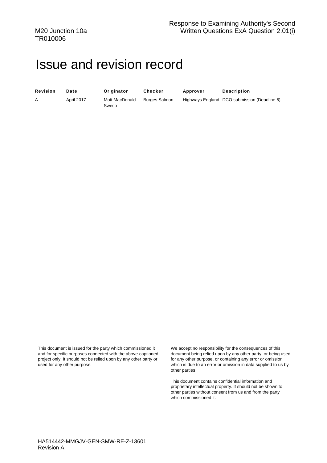### Issue and revision record

| <b>Revision</b> | I |
|-----------------|---|
|                 |   |

A April 2017 Mott MacDonald Sweco

Date **Originator** Checker Approver Description

Burges Salmon Highways England DCO submission (Deadline 6)

This document is issued for the party which commissioned it and for specific purposes connected with the above-captioned project only. It should not be relied upon by any other party or used for any other purpose.

We accept no responsibility for the consequences of this document being relied upon by any other party, or being used for any other purpose, or containing any error or omission which is due to an error or omission in data supplied to us by other parties

This document contains confidential information and proprietary intellectual property. It should not be shown to other parties without consent from us and from the party which commissioned it.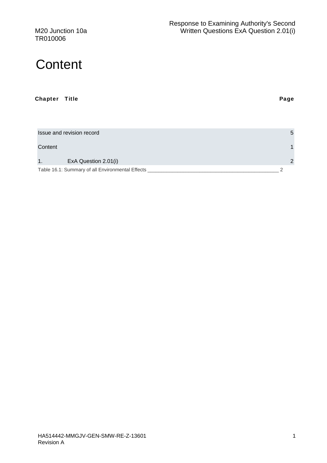TR010006

### **Content**

#### Chapter Title **Page**

| Issue and revision record                        | 5 |
|--------------------------------------------------|---|
| Content                                          |   |
| ExA Question 2.01(i)<br>$\mathbf{1}$ .           |   |
| Table 16.1: Summary of all Environmental Effects |   |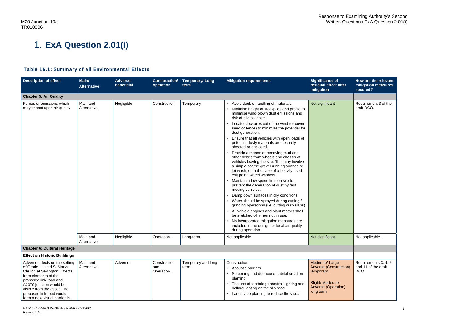### Table 16.1: Summary of all Environmental Effects

| <b>Description of effect</b>                                                                                                                                                                                                                                         | Main/<br><b>Alternative</b>           | <b>Adverse/</b><br>beneficial | <b>Construction/</b><br>operation | <b>Temporary/Long</b><br>term | <b>Mitigation requirements</b>                                                                                                                                                                                                                                                                                                                                                                                                                                                                                                                                                                                                                                                                                                                                                                       | <b>Significance of</b><br>residual effect after<br>mitigation                                                                 | How are the re<br>mitigation mea<br>secured? |
|----------------------------------------------------------------------------------------------------------------------------------------------------------------------------------------------------------------------------------------------------------------------|---------------------------------------|-------------------------------|-----------------------------------|-------------------------------|------------------------------------------------------------------------------------------------------------------------------------------------------------------------------------------------------------------------------------------------------------------------------------------------------------------------------------------------------------------------------------------------------------------------------------------------------------------------------------------------------------------------------------------------------------------------------------------------------------------------------------------------------------------------------------------------------------------------------------------------------------------------------------------------------|-------------------------------------------------------------------------------------------------------------------------------|----------------------------------------------|
| <b>Chapter 5: Air Quality</b>                                                                                                                                                                                                                                        |                                       |                               |                                   |                               |                                                                                                                                                                                                                                                                                                                                                                                                                                                                                                                                                                                                                                                                                                                                                                                                      |                                                                                                                               |                                              |
| Fumes or emissions which<br>may impact upon air quality                                                                                                                                                                                                              | Main and<br>Negligible<br>Alternative |                               | Construction                      | Temporary                     | Avoid double handling of materials.<br>$\bullet$<br>Minimise height of stockpiles and profile to<br>$\bullet$<br>minimise wind-blown dust emissions and<br>risk of pile collapse.<br>Locate stockpiles out of the wind (or cover,<br>$\bullet$<br>seed or fence) to minimise the potential for<br>dust generation.<br>Ensure that all vehicles with open loads of<br>potential dusty materials are securely<br>sheeted or enclosed.<br>Provide a means of removing mud and<br>other debris from wheels and chassis of<br>vehicles leaving the site. This may involve<br>a simple coarse gravel running surface or<br>jet wash, or in the case of a heavily used<br>exit point, wheel washers.<br>Maintain a low speed limit on site to<br>prevent the generation of dust by fast<br>moving vehicles. | Not significant                                                                                                               | <b>Requirement 3</b><br>draft DCO.           |
|                                                                                                                                                                                                                                                                      |                                       |                               |                                   |                               | Damp down surfaces in dry conditions.<br>$\bullet$<br>Water should be sprayed during cutting /<br>$\bullet$<br>grinding operations (i.e. cutting curb slabs).<br>All vehicle engines and plant motors shall<br>be switched off when not in use.<br>No incorporated mitigation measures are<br>included in the design for local air quality<br>during operation                                                                                                                                                                                                                                                                                                                                                                                                                                       |                                                                                                                               |                                              |
|                                                                                                                                                                                                                                                                      | Main and<br>Alternative.              | Negligible.                   | Operation.                        | Long-term.                    | Not applicable.                                                                                                                                                                                                                                                                                                                                                                                                                                                                                                                                                                                                                                                                                                                                                                                      | Not significant.                                                                                                              | Not applicable.                              |
| <b>Chapter 6: Cultural Heritage</b>                                                                                                                                                                                                                                  |                                       |                               |                                   |                               |                                                                                                                                                                                                                                                                                                                                                                                                                                                                                                                                                                                                                                                                                                                                                                                                      |                                                                                                                               |                                              |
| <b>Effect on Historic Buildings</b>                                                                                                                                                                                                                                  |                                       |                               |                                   |                               |                                                                                                                                                                                                                                                                                                                                                                                                                                                                                                                                                                                                                                                                                                                                                                                                      |                                                                                                                               |                                              |
| Adverse effects on the setting<br>of Grade I Listed St Marys<br>Church at Sevington. Effects<br>from elements of the<br>proposed link road and<br>A2070 junction would be<br>visible from the asset. The<br>proposed link road would<br>form a new visual barrier in | Main and<br>Alternative.              | Adverse.                      | Construction<br>and<br>Operation. | Temporary and long<br>term.   | Construction:<br>• Acoustic barriers.<br>Screening and dormouse habitat creation<br>planting.<br>The use of footbridge handrail lighting and<br>$\bullet$<br>bollard lighting on the slip road.<br>• Landscape planting to reduce the visual                                                                                                                                                                                                                                                                                                                                                                                                                                                                                                                                                         | Moderate/Large<br><b>Adverse (Construction)</b><br>temporary.<br>Slight/ Moderate<br><b>Adverse (Operation)</b><br>long term. | Requirements 3<br>and 11 of the di<br>DCO.   |

| <b>Significance of</b><br>residual effect after<br>mitigation                                                          | How are the relevant<br>mitigation measures<br>secured? |
|------------------------------------------------------------------------------------------------------------------------|---------------------------------------------------------|
|                                                                                                                        |                                                         |
| Not significant                                                                                                        | Requirement 3 of the<br>draft DCO.                      |
| Not significant.                                                                                                       | Not applicable.                                         |
|                                                                                                                        |                                                         |
|                                                                                                                        |                                                         |
| Moderate/Large<br><b>Adverse (Construction)</b><br>temporary.<br>Slight/ Moderate<br>Adverse (Operation)<br>long term. | Requirements 3, 4, 5<br>and 11 of the draft<br>DCO.     |
|                                                                                                                        |                                                         |

## 1. **ExA Question 2.01(i)**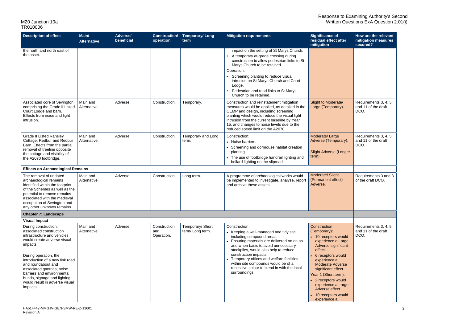| How are the relevant<br>mitigation measures<br>secured? |
|---------------------------------------------------------|
|                                                         |
| Requirements 3, 4, 5<br>and 11 of the draft<br>DCO.     |
| Requirements 3, 4, 5<br>and 11 of the draft<br>DCO.     |
|                                                         |
| Requirements 3 and 8<br>of the draft DCO.               |
|                                                         |
| Requirements 3, 4, 5<br>and 11 of the draft<br>DCO.     |
|                                                         |

| <b>Description of effect</b>                                                                                                                                                                                                                                                                                                                         | Main/<br><b>Alternative</b> | <b>Adverse/</b><br>beneficial | <b>Construction/</b><br>operation | <b>Temporary/Long</b><br>term       | <b>Mitigation requirements</b>                                                                                                                                                                                                                                                                                                                                                                | <b>Significance of</b><br>residual effect after<br>mitigation                                                                                                                                                                                                                                                                     |
|------------------------------------------------------------------------------------------------------------------------------------------------------------------------------------------------------------------------------------------------------------------------------------------------------------------------------------------------------|-----------------------------|-------------------------------|-----------------------------------|-------------------------------------|-----------------------------------------------------------------------------------------------------------------------------------------------------------------------------------------------------------------------------------------------------------------------------------------------------------------------------------------------------------------------------------------------|-----------------------------------------------------------------------------------------------------------------------------------------------------------------------------------------------------------------------------------------------------------------------------------------------------------------------------------|
| the north and north east of                                                                                                                                                                                                                                                                                                                          |                             |                               |                                   |                                     | impact on the setting of St Marys Church.                                                                                                                                                                                                                                                                                                                                                     |                                                                                                                                                                                                                                                                                                                                   |
| the asset.                                                                                                                                                                                                                                                                                                                                           |                             |                               |                                   |                                     | A temporary at-grade crossing during<br>construction to allow pedestrian links to St<br>Marys Church to be retained.<br>Operation:<br>Screening planting to reduce visual<br>intrusion on St Marys Church and Court<br>Lodge.                                                                                                                                                                 |                                                                                                                                                                                                                                                                                                                                   |
|                                                                                                                                                                                                                                                                                                                                                      |                             |                               |                                   |                                     | Pedestrian and road links to St Marys<br>Church to be retained.                                                                                                                                                                                                                                                                                                                               |                                                                                                                                                                                                                                                                                                                                   |
| Associated core of Sevington<br>comprising the Grade II Listed<br>Court Lodge and barn.<br>Effects from noise and light<br>intrusion.                                                                                                                                                                                                                | Main and<br>Alternative.    | Adverse.                      | Construction.                     | Temporary.                          | Construction and reinstatement mitigation<br>measures would be applied, as detailed in the<br>CEMP and design, including screening<br>planting which would reduce the visual light<br>intrusion from the current baseline by Year<br>15, and changes to noise levels due to the<br>reduced speed limit on the A2070.                                                                          | Slight to Moderate/<br>Large (Temporary).                                                                                                                                                                                                                                                                                         |
| <b>Grade II Listed Ransley</b><br>Cottage, Redbur and Redbur<br>Barn. Effects from the partial<br>removal of treeline opposite<br>the cottage and visibility of<br>the A2070 footbridge.                                                                                                                                                             | Main and<br>Alternative.    | Adverse.                      | Construction.                     | Temporary and Long<br>term.         | Construction:<br>• Noise barriers.<br>Screening and dormouse habitat creation<br>planting.<br>The use of footbridge handrail lighting and<br>bollard lighting on the sliproad.                                                                                                                                                                                                                | Moderate/Large<br>Adverse (Temporary).<br><b>Slight Adverse (Longer</b><br>term).                                                                                                                                                                                                                                                 |
| <b>Effects on Archaeological Remains</b>                                                                                                                                                                                                                                                                                                             |                             |                               |                                   |                                     |                                                                                                                                                                                                                                                                                                                                                                                               |                                                                                                                                                                                                                                                                                                                                   |
| The removal of undated<br>archaeological remains<br>identified within the footprint<br>of the Schemes as well as the<br>potential to remove remains<br>associated with the medieval<br>occupation of Sevington and<br>any other unknown remains.                                                                                                     | Main and<br>Alternative.    | Adverse.                      | Construction.                     | Long term.                          | A programme of archaeological works would<br>be implemented to investigate, analyse, report<br>and archive these assets.                                                                                                                                                                                                                                                                      | Moderate/ Slight<br>(Permanent effect)<br>Adverse.                                                                                                                                                                                                                                                                                |
| <b>Chapter 7: Landscape</b>                                                                                                                                                                                                                                                                                                                          |                             |                               |                                   |                                     |                                                                                                                                                                                                                                                                                                                                                                                               |                                                                                                                                                                                                                                                                                                                                   |
| <b>Visual Impact</b>                                                                                                                                                                                                                                                                                                                                 |                             |                               |                                   |                                     |                                                                                                                                                                                                                                                                                                                                                                                               |                                                                                                                                                                                                                                                                                                                                   |
| During construction,<br>associated construction<br>infrastructure and vehicles<br>would create adverse visual<br>impacts.<br>During operation, the<br>introduction of a new link road<br>and roundabout and<br>associated gantries, noise<br>barriers and environmental<br>bunds, signage and lighting<br>would result in adverse visual<br>impacts. | Main and<br>Alternative.    | Adverse.                      | Construction<br>and<br>Operation. | Temporary/ Short<br>term/Long term. | Construction:<br>• Keeping a well-managed and tidy site<br>including compound areas.<br>Ensuring materials are delivered on an as<br>and when basis to avoid unnecessary<br>stockpiles, would also help to reduce<br>construction impacts.<br>Temporary offices and welfare facilities<br>within site compounds would be of a<br>recessive colour to blend in with the local<br>surroundings. | Construction<br>(Temporary):<br>• 10 receptors would<br>experience a Large<br>Adverse significant<br>effect.<br>6 receptors would<br>experience a<br><b>Moderate Adverse</b><br>significant effect.<br>Year 1 (Short term):<br>• 2 receptors would<br>experience a Large<br>Adverse effect.<br>10 receptors would<br>experience a |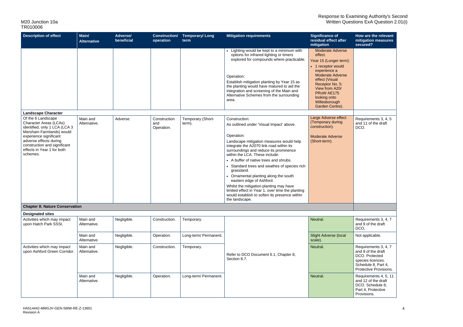| <b>Description of effect</b>                                                                                                                           | Main/<br><b>Alternative</b> | <b>Adverse/</b><br>beneficial | <b>Construction/</b><br>operation | <b>Temporary/Long</b><br>term | <b>Mitigation requirements</b>                                                                                                                                                                            | <b>Significance of</b><br>residual effect after<br>mitigation                                                                                                    | How are the relevant<br>mitigation measures<br>secured?                                                                            |
|--------------------------------------------------------------------------------------------------------------------------------------------------------|-----------------------------|-------------------------------|-----------------------------------|-------------------------------|-----------------------------------------------------------------------------------------------------------------------------------------------------------------------------------------------------------|------------------------------------------------------------------------------------------------------------------------------------------------------------------|------------------------------------------------------------------------------------------------------------------------------------|
|                                                                                                                                                        |                             |                               |                                   |                               | • Lighting would be kept to a minimum with<br>options for infrared lighting or timers<br>explored for compounds where practicable.                                                                        | <b>Moderate Adverse</b><br>effect.<br>Year 15 (Longer term):<br>• 1 receptor would                                                                               |                                                                                                                                    |
|                                                                                                                                                        |                             |                               |                                   |                               | Operation:<br>Establish mitigation planting by Year 15 as<br>the planting would have matured to aid the<br>integration and screening of the Main and<br>Alternative Schemes from the surrounding<br>area. | experience a<br><b>Moderate Adverse</b><br>effect (Visual<br>Receptor No. 5:<br>View from A20/<br>PRoW AE175<br>looking onto<br>Willesborough<br>Garden Centre). |                                                                                                                                    |
| <b>Landscape Character</b>                                                                                                                             |                             |                               |                                   |                               |                                                                                                                                                                                                           |                                                                                                                                                                  |                                                                                                                                    |
| Of the 6 Landscape<br><b>Character Areas (LCAs)</b><br>identified, only 1 LCA (LCA 3                                                                   | Main and<br>Alternative.    | Adverse.                      | Construction<br>and<br>Operation. | Temporary (Short-<br>term).   | Construction:<br>As outlined under 'Visual Impact' above.                                                                                                                                                 | Large Adverse effect<br>(Temporary during<br>construction).                                                                                                      | Requirements 3, 4, 5<br>and 11 of the draft<br>DCO.                                                                                |
| Mersham Farmlands) would<br>experience significant<br>adverse effects during<br>construction and significant<br>effects in Year 1 for both<br>schemes. |                             |                               |                                   |                               | Operation:<br>Landscape mitigation measures would help<br>integrate the A2070 link road within its<br>surroundings and reduce its prominence<br>within the LCA. These include:                            | <b>Moderate Adverse</b><br>(Short-term).                                                                                                                         |                                                                                                                                    |
|                                                                                                                                                        |                             |                               |                                   |                               | • A buffer of native trees and shrubs.                                                                                                                                                                    |                                                                                                                                                                  |                                                                                                                                    |
|                                                                                                                                                        |                             |                               |                                   |                               | • Standard trees and swathes of species rich<br>grassland.                                                                                                                                                |                                                                                                                                                                  |                                                                                                                                    |
|                                                                                                                                                        |                             |                               |                                   |                               | • Ornamental planting along the south<br>eastern edge of Ashford.                                                                                                                                         |                                                                                                                                                                  |                                                                                                                                    |
|                                                                                                                                                        |                             |                               |                                   |                               | Whilst the mitigation planting may have<br>limited effect in Year 1, over time the planting<br>would establish to soften its presence within<br>the landscape.                                            |                                                                                                                                                                  |                                                                                                                                    |
| <b>Chapter 8: Nature Conservation</b>                                                                                                                  |                             |                               |                                   |                               |                                                                                                                                                                                                           |                                                                                                                                                                  |                                                                                                                                    |
| <b>Designated sites</b>                                                                                                                                |                             |                               |                                   |                               |                                                                                                                                                                                                           |                                                                                                                                                                  |                                                                                                                                    |
| Activities which may impact<br>upon Hatch Park SSSI.                                                                                                   | Main and<br>Alternative.    | Negligible.                   | Construction.                     | Temporary.                    |                                                                                                                                                                                                           | Neutral.                                                                                                                                                         | Requirements 3, 4, 7<br>and 9 of the draft<br>DCO.                                                                                 |
|                                                                                                                                                        | Main and<br>Alternative.    | Negligible.                   | Operation.                        | Long-term/ Permanent.         |                                                                                                                                                                                                           | <b>Slight Adverse (local</b><br>scale).                                                                                                                          | Not applicable.                                                                                                                    |
| Activities which may impact<br>upon Ashford Green Corridor.                                                                                            | Main and<br>Alternative.    | Negligible.                   | Construction.                     | Temporary.                    | Refer to DCO Document 6.1, Chapter 8,<br>Section 8.7.                                                                                                                                                     | Neutral.                                                                                                                                                         | Requirements 3, 4, 7<br>and 9 of the draft<br>DCO. Protected<br>species licences.<br>Schedule 8, Part 4,<br>Protective Provisions. |
|                                                                                                                                                        | Main and<br>Alternative.    | Negligible.                   | Operation.                        | Long-term/ Permanent.         |                                                                                                                                                                                                           | Neutral.                                                                                                                                                         | Requirements 4, 5, 11<br>and 12 of the draft<br>DCO. Schedule 8,<br>Part 4, Protective<br>Provisions.                              |

| <b>Significance of</b><br>residual effect after<br>mitigation                                                                                                                                                                                                     | How are the relevant<br>mitigation measures<br>secured?                                                                            |
|-------------------------------------------------------------------------------------------------------------------------------------------------------------------------------------------------------------------------------------------------------------------|------------------------------------------------------------------------------------------------------------------------------------|
| <b>Moderate Adverse</b><br>effect.<br>Year 15 (Longer term):<br>1 receptor would<br>$\bullet$<br>experience a<br><b>Moderate Adverse</b><br>effect (Visual<br>Receptor No. 5:<br>View from A20/<br>PRoW AE175<br>looking onto<br>Willesborough<br>Garden Centre). |                                                                                                                                    |
| Large Adverse effect<br><b>Temporary during</b><br>construction).<br><b>Moderate Adverse</b><br>(Short-term).                                                                                                                                                     | Requirements 3, 4, 5<br>and 11 of the draft<br>DCO.                                                                                |
|                                                                                                                                                                                                                                                                   |                                                                                                                                    |
|                                                                                                                                                                                                                                                                   |                                                                                                                                    |
| Neutral.                                                                                                                                                                                                                                                          | Requirements 3, 4, 7<br>and 9 of the draft<br>DCO.                                                                                 |
| <b>Slight Adverse (local</b><br>scale).                                                                                                                                                                                                                           | Not applicable.                                                                                                                    |
| Neutral.                                                                                                                                                                                                                                                          | Requirements 3, 4, 7<br>and 9 of the draft<br>DCO. Protected<br>species licences.<br>Schedule 8, Part 4,<br>Protective Provisions. |
| Neutral.                                                                                                                                                                                                                                                          | Requirements 4, 5, 11<br>and 12 of the draft<br>DCO. Schedule 8,<br>Part 4, Protective<br>Provisions.                              |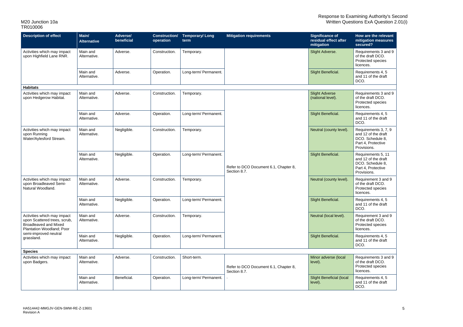| <b>Description of effect</b>                                                                                             | Main/<br><b>Alternative</b> | <b>Adverse/</b><br>beneficial | <b>Construction/</b><br>operation | Temporary/Long<br>term | <b>Mitigation requirements</b>                        | <b>Significance of</b><br>residual effect after<br>mitigation | How are the relevant<br>mitigation measures<br>secured?                                              |
|--------------------------------------------------------------------------------------------------------------------------|-----------------------------|-------------------------------|-----------------------------------|------------------------|-------------------------------------------------------|---------------------------------------------------------------|------------------------------------------------------------------------------------------------------|
| Activities which may impact<br>upon Highfield Lane RNR.                                                                  | Main and<br>Alternative.    | Adverse.                      | Construction.                     | Temporary.             |                                                       | Slight Adverse.                                               | Requirements 3 and 9<br>of the draft DCO.<br>Protected species<br>licences.                          |
|                                                                                                                          | Main and<br>Alternative.    | Adverse.                      | Operation.                        | Long-term/ Permanent.  |                                                       | Slight Beneficial.                                            | Requirements 4, 5<br>and 11 of the draft<br>DCO.                                                     |
| <b>Habitats</b>                                                                                                          |                             |                               |                                   |                        |                                                       |                                                               |                                                                                                      |
| Activities which may impact<br>upon Hedgerow Habitat.                                                                    | Main and<br>Alternative.    | Adverse.                      | Construction.                     | Temporary.             |                                                       | <b>Slight Adverse</b><br>(national level).                    | Requirements 3 and 9<br>of the draft DCO.<br>Protected species<br>licences.                          |
|                                                                                                                          | Main and<br>Alternative.    | Adverse.                      | Operation.                        | Long-term/ Permanent.  |                                                       | Slight Beneficial.                                            | Requirements 4, 5<br>and 11 of the draft<br>DCO.                                                     |
| Activities which may impact<br>upon Running<br>Water/Aylesford Stream.                                                   | Main and<br>Alternative.    | Negligible.                   | Construction.                     | Temporary.             |                                                       | Neutral (county level).                                       | Requirements 3, 7, 9<br>and 12 of the draft<br>DCO. Schedule 8,<br>Part 4, Protective<br>Provisions. |
|                                                                                                                          | Main and<br>Alternative.    | Negligible.                   | Operation.                        | Long-term/ Permanent.  | Refer to DCO Document 6.1, Chapter 8,<br>Section 8.7. | Slight Beneficial.                                            | Requirements 5, 11<br>and 12 of the draft<br>DCO. Schedule 8,<br>Part 4, Protective<br>Provisions.   |
| Activities which may impact<br>upon Broadleaved Semi-<br>Natural Woodland.                                               | Main and<br>Alternative.    | Adverse.                      | Construction.                     | Temporary.             |                                                       | Neutral (county level).                                       | Requirement 3 and 9<br>of the draft DCO.<br>Protected species<br>licences.                           |
|                                                                                                                          | Main and<br>Alternative.    | Negligible.                   | Operation.                        | Long-term/ Permanent.  |                                                       | Slight Beneficial.                                            | Requirements 4, 5<br>and 11 of the draft<br>DCO.                                                     |
| Activities which may impact<br>upon Scattered trees, scrub,<br><b>Broadleaved and Mixed</b><br>Plantation Woodland; Poor | Main and<br>Alternative.    | Adverse.                      | Construction.                     | Temporary.             |                                                       | Neutral (local level).                                        | Requirement 3 and 9<br>of the draft DCO.<br>Protected species<br>licences.                           |
| semi-improved neutral<br>grassland.                                                                                      | Main and<br>Alternative.    | Negligible.                   | Operation.                        | Long-term/ Permanent.  |                                                       | Slight Beneficial.                                            | Requirements 4, 5<br>and 11 of the draft<br>DCO.                                                     |
| <b>Species</b>                                                                                                           |                             |                               |                                   |                        |                                                       |                                                               |                                                                                                      |
| Activities which may impact<br>upon Badgers.                                                                             | Main and<br>Alternative.    | Adverse.                      | Construction.                     | Short-term.            | Refer to DCO Document 6.1, Chapter 8,<br>Section 8.7. | Minor adverse (local<br>level).                               | Requirements 3 and 9<br>of the draft DCO.<br>Protected species<br>licences.                          |
|                                                                                                                          | Main and<br>Alternative.    | Beneficial.                   | Operation.                        | Long-term/ Permanent.  |                                                       | <b>Slight Beneficial (local</b><br>level).                    | Requirements 4, 5<br>and 11 of the draft<br>DCO.                                                     |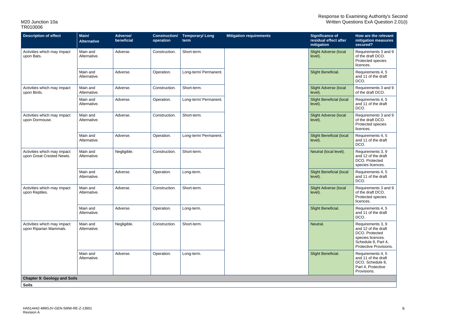| <b>Description of effect</b>                             | Main/<br><b>Alternative</b> | <b>Adverse/</b><br>beneficial | <b>Construction/</b><br>operation | <b>Temporary/Long</b><br>term | <b>Mitigation requirements</b> | <b>Significance of</b><br>residual effect after<br>mitigation | How are the relevant<br>mitigation measures<br>secured?                                                                          |
|----------------------------------------------------------|-----------------------------|-------------------------------|-----------------------------------|-------------------------------|--------------------------------|---------------------------------------------------------------|----------------------------------------------------------------------------------------------------------------------------------|
| Activities which may impact<br>upon Bats.                | Main and<br>Alternative.    | Adverse.                      | Construction.                     | Short-term.                   |                                | <b>Slight Adverse (local</b><br>level).                       | Requirements 3 and 9<br>of the draft DCO.<br>Protected species<br>licences.                                                      |
|                                                          | Main and<br>Alternative.    | Adverse.                      | Operation.                        | Long-term/ Permanent.         |                                | Slight Beneficial.                                            | Requirements 4, 5<br>and 11 of the draft<br>DCO.                                                                                 |
| Activities which may impact<br>upon Birds.               | Main and<br>Alternative.    | Adverse.                      | Construction.                     | Short-term.                   |                                | Slight Adverse (local<br>level).                              | Requirements 3 and 9<br>of the draft DCO.                                                                                        |
|                                                          | Main and<br>Alternative.    | Adverse.                      | Operation.                        | Long-term/ Permanent.         |                                | <b>Slight Beneficial (local</b><br>level).                    | Requirements 4, 5<br>and 11 of the draft<br>DCO.                                                                                 |
| Activities which may impact<br>upon Dormouse.            | Main and<br>Alternative.    | Adverse.                      | Construction.                     | Short-term.                   |                                | <b>Slight Adverse (local</b><br>level).                       | Requirements 3 and 9<br>of the draft DCO.<br>Protected species<br>licences.                                                      |
|                                                          | Main and<br>Alternative.    | Adverse.                      | Operation.                        | Long-term/ Permanent.         |                                | <b>Slight Beneficial (local</b><br>level).                    | Requirements 4, 5<br>and 11 of the draft<br>DCO.                                                                                 |
| Activities which may impact<br>upon Great Crested Newts. | Main and<br>Alternative.    | Negligible.                   | Construction.                     | Short-term.                   |                                | Neutral (local level).                                        | Requirements 3, 9<br>and 12 of the draft<br>DCO. Protected<br>species licences.                                                  |
|                                                          | Main and<br>Alternative.    | Adverse.                      | Operation.                        | Long-term.                    |                                | <b>Slight Beneficial (local</b><br>level).                    | Requirements 4, 5<br>and 11 of the draft<br>DCO.                                                                                 |
| Activities which may impact<br>upon Reptiles.            | Main and<br>Alternative.    | Adverse.                      | Construction.                     | Short-term.                   |                                | <b>Slight Adverse (local</b><br>level).                       | Requirements 3 and 9<br>of the draft DCO.<br>Protected species<br>licences.                                                      |
|                                                          | Main and<br>Alternative.    | Adverse.                      | Operation.                        | Long-term.                    |                                | Slight Beneficial.                                            | Requirements 4, 5<br>and 11 of the draft<br>DCO.                                                                                 |
| Activities which may impact<br>upon Riparian Mammals.    | Main and<br>Alternative.    | Negligible.                   | Construction.                     | Short-term.                   |                                | Neutral.                                                      | Requirements 3, 9<br>and 12 of the draft<br>DCO. Protected<br>species licences.<br>Schedule 8, Part 4,<br>Protective Provisions. |
|                                                          | Main and<br>Alternative.    | Adverse.                      | Operation.                        | Long-term.                    |                                | Slight Beneficial.                                            | Requirements 4, 5<br>and 11 of the draft<br>DCO. Schedule 8,<br>Part 4, Protective<br>Provisions.                                |
| <b>Chapter 9: Geology and Soils</b>                      |                             |                               |                                   |                               |                                |                                                               |                                                                                                                                  |
| <b>Soils</b>                                             |                             |                               |                                   |                               |                                |                                                               |                                                                                                                                  |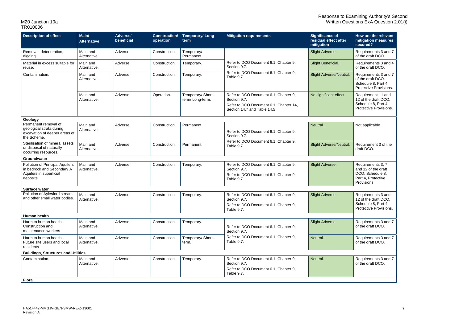| <b>Description of effect</b>                                                                          | Main/<br><b>Alternative</b> | <b>Adverse/</b><br>beneficial | <b>Construction/</b><br>operation | <b>Temporary/Long</b><br>term        | <b>Mitigation requirements</b>                                                                                                 | <b>Significance of</b><br>residual effect after<br>mitigation | How are the relevant<br>mitigation measures<br>secured?                                           |
|-------------------------------------------------------------------------------------------------------|-----------------------------|-------------------------------|-----------------------------------|--------------------------------------|--------------------------------------------------------------------------------------------------------------------------------|---------------------------------------------------------------|---------------------------------------------------------------------------------------------------|
| Removal, deterioration,<br>digging.                                                                   | Main and<br>Alternative.    | Adverse.                      | Construction.                     | Temporary/<br>Permanent.             |                                                                                                                                | Slight Adverse.                                               | Requirements 3 and 7<br>of the draft DCO.                                                         |
| Material in excess suitable for<br>reuse.                                                             | Main and<br>Alternative.    | Adverse.                      | Construction.                     | Temporary.                           | Refer to DCO Document 6.1, Chapter 9,<br>Section 9.7.                                                                          | Slight Beneficial.                                            | Requirements 3 and 4<br>of the draft DCO.                                                         |
| Contamination.                                                                                        | Main and<br>Alternative.    | Adverse.                      | Construction.                     | Temporary.                           | Refer to DCO Document 6.1, Chapter 9,<br>Table 9.7.                                                                            | Slight Adverse/Neutral.                                       | Requirements 3 and 7<br>of the draft DCO.<br>Schedule 8, Part 4,<br>Protective Provisions.        |
|                                                                                                       | Main and<br>Alternative.    | Adverse.                      | Operation.                        | Temporary/ Short-<br>term/Long-term. | Refer to DCO Document 6.1, Chapter 9,<br>Section 9.7.<br>Refer to DCO Document 6.1, Chapter 14,<br>Section 14.7 and Table 14.5 | No significant effect.                                        | Requirement 11 and<br>12 of the draft DCO.<br>Schedule 8, Part 4,<br>Protective Provisions.       |
| Geology                                                                                               |                             |                               |                                   |                                      |                                                                                                                                |                                                               |                                                                                                   |
| Permanent removal of<br>geological strata during<br>excavation of deeper areas of<br>the Scheme.      | Main and<br>Alternative.    | Adverse.                      | Construction.                     | Permanent.                           | Refer to DCO Document 6.1, Chapter 9,<br>Section 9.7.                                                                          | Neutral.                                                      | Not applicable.                                                                                   |
| Sterilisation of mineral assets<br>or disposal of naturally<br>occurring resources.                   | Main and<br>Alternative.    | Adverse.                      | Construction.                     | Permanent.                           | Refer to DCO Document 6.1, Chapter 9,<br>Table 9.7.                                                                            | Slight Adverse/Neutral.                                       | Requirement 3 of the<br>draft DCO.                                                                |
| Groundwater                                                                                           |                             |                               |                                   |                                      |                                                                                                                                |                                                               |                                                                                                   |
| Pollution of Principal Aquifers<br>in bedrock and Secondary A<br>Aquifers in superficial<br>deposits. | Main and<br>Alternative.    | Adverse.                      | Construction.                     | Temporary.                           | Refer to DCO Document 6.1, Chapter 9,<br>Section 9.7.<br>Refer to DCO Document 6.1, Chapter 9,<br>Table 9.7.                   | Slight Adverse.                                               | Requirements 3, 7<br>and 12 of the draft<br>DCO. Schedule 8,<br>Part 4, Protective<br>Provisions. |
| <b>Surface water</b>                                                                                  |                             |                               |                                   |                                      |                                                                                                                                |                                                               |                                                                                                   |
| Pollution of Aylesford stream<br>and other small water bodies.                                        | Main and<br>Alternative.    | Adverse.                      | Construction.                     | Temporary.                           | Refer to DCO Document 6.1, Chapter 9,<br>Section 9.7.<br>Refer to DCO Document 6.1, Chapter 9,<br>Table 9.7.                   | Slight Adverse.                                               | Requirements 3 and<br>12 of the draft DCO.<br>Schedule 8, Part 4,<br>Protective Provisions.       |
| Human health                                                                                          |                             |                               |                                   |                                      |                                                                                                                                |                                                               |                                                                                                   |
| Harm to human health -<br>Construction and<br>maintenance workers                                     | Main and<br>Alternative.    | Adverse.                      | Construction.                     | Temporary.                           | Refer to DCO Document 6.1, Chapter 9,<br>Section 9.7.                                                                          | Slight Adverse.                                               | Requirements 3 and 7<br>of the draft DCO.                                                         |
| Harm to human health -<br>Future site users and local<br>residents                                    | Main and<br>Alternative.    | Adverse.                      | Construction.                     | Temporary/ Short-<br>term.           | Refer to DCO Document 6.1, Chapter 9,<br>Table 9.7.                                                                            | Neutral.                                                      | Requirements 3 and 7<br>of the draft DCO.                                                         |
| <b>Buildings, Structures and Utilities</b>                                                            |                             |                               |                                   |                                      |                                                                                                                                |                                                               |                                                                                                   |
| Contamination.<br><b>Flora</b>                                                                        | Main and<br>Alternative.    | Adverse.                      | Construction.                     | Temporary.                           | Refer to DCO Document 6.1, Chapter 9,<br>Section 9.7.<br>Refer to DCO Document 6.1, Chapter 9,<br>Table 9.7.                   | Neutral.                                                      | Requirements 3 and 7<br>of the draft DCO.                                                         |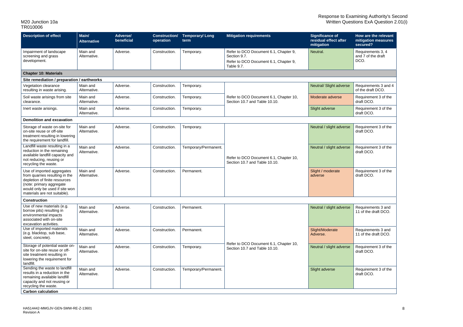| <b>Description of effect</b>                                                                                                                                                                | Main/<br><b>Alternative</b> | <b>Adverse/</b><br>beneficial | <b>Construction/</b><br>operation | <b>Temporary/Long</b><br>term | <b>Mitigation requirements</b>                                                                               | <b>Significance of</b><br>residual effect after<br>mitigation | How are the relevant<br>mitigation measures<br>secured? |
|---------------------------------------------------------------------------------------------------------------------------------------------------------------------------------------------|-----------------------------|-------------------------------|-----------------------------------|-------------------------------|--------------------------------------------------------------------------------------------------------------|---------------------------------------------------------------|---------------------------------------------------------|
| Impairment of landscape<br>screening and grass<br>development.                                                                                                                              | Main and<br>Alternative.    | Adverse.                      | Construction.                     | Temporary.                    | Refer to DCO Document 6.1, Chapter 9,<br>Section 9.7.<br>Refer to DCO Document 6.1, Chapter 9,<br>Table 9.7. | <b>Neutral</b>                                                | Requirements 3, 4<br>and 7 of the draft<br>DCO.         |
| <b>Chapter 10: Materials</b>                                                                                                                                                                |                             |                               |                                   |                               |                                                                                                              |                                                               |                                                         |
| Site remediation / preparation / earthworks                                                                                                                                                 |                             |                               |                                   |                               |                                                                                                              |                                                               |                                                         |
| Vegetation clearance<br>resulting in waste arising.                                                                                                                                         | Main and<br>Alternative.    | Adverse.                      | Construction.                     | Temporary.                    |                                                                                                              | Neutral/ Slight adverse                                       | Requirements 3 and 4<br>of the draft DCO.               |
| Soil waste arisings from site<br>clearance.                                                                                                                                                 | Main and<br>Alternative.    | Adverse.                      | Construction.                     | Temporary.                    | Refer to DCO Document 6.1, Chapter 10,<br>Section 10.7 and Table 10.10.                                      | Moderate adverse                                              | Requirement 3 of the<br>draft DCO.                      |
| Inert waste arisings.                                                                                                                                                                       | Main and<br>Alternative.    | Adverse.                      | Construction.                     | Temporary.                    |                                                                                                              | Slight adverse                                                | Requirement 3 of the<br>draft DCO.                      |
| <b>Demolition and excavation</b>                                                                                                                                                            |                             |                               |                                   |                               |                                                                                                              |                                                               |                                                         |
| Storage of waste on-site for<br>on-site reuse or off-site<br>treatment resulting in lowering<br>the requirement for landfill.                                                               | Main and<br>Alternative.    | Adverse.                      | Construction.                     | Temporary.                    | Refer to DCO Document 6.1, Chapter 10,<br>Section 10.7 and Table 10.10.                                      | Neutral / slight adverse                                      | Requirement 3 of the<br>draft DCO.                      |
| Landfill waste resulting in a<br>reduction in the remaining<br>available landfill capacity and<br>not reducing, reusing or<br>recycling the waste.                                          | Main and<br>Alternative.    | Adverse.                      | Construction.                     | Temporary/Permanent.          |                                                                                                              | Neutral / slight adverse                                      | Requirement 3 of the<br>draft DCO.                      |
| Use of imported aggregates<br>from quarries resulting in the<br>depletion of finite resources<br>(note: primary aggregate<br>would only be used if site won<br>materials are not suitable). | Main and<br>Alternative.    | Adverse.                      | Construction.                     | Permanent.                    |                                                                                                              | Slight / moderate<br>adverse                                  | Requirement 3 of the<br>draft DCO.                      |
| <b>Construction</b>                                                                                                                                                                         |                             |                               |                                   |                               |                                                                                                              |                                                               |                                                         |
| Use of new materials (e.g.<br>borrow pits) resulting in<br>environmental impacts<br>associated with on-site<br>excavation activities.                                                       | Main and<br>Alternative.    | Adverse.                      | Construction.                     | Permanent.                    |                                                                                                              | Neutral / slight adverse                                      | Requirements 3 and<br>11 of the draft DCO.              |
| Use of imported materials<br>(e.g. blacktop, sub base,<br>steel, concrete).                                                                                                                 | Main and<br>Alternative.    | Adverse.                      | Construction.                     | Permanent.                    |                                                                                                              | Slight/Moderate<br>Adverse.                                   | Requirements 3 and<br>11 of the draft DCO.              |
| Storage of potential waste on-<br>site for on-site reuse or off-<br>site treatment resulting in<br>lowering the requirement for<br>landfill.                                                | Main and<br>Alternative.    | Adverse.                      | Construction.                     | Temporary.                    | Refer to DCO Document 6.1, Chapter 10,<br>Section 10.7 and Table 10.10.                                      | Neutral / slight adverse                                      | Requirement 3 of the<br>draft DCO.                      |
| Sending the waste to landfill<br>results in a reduction in the<br>remaining available landfill<br>capacity and not reusing or<br>recycling the waste.<br><b>Carbon calculation</b>          | Main and<br>Alternative.    | Adverse.                      | Construction.                     | Temporary/Permanent.          |                                                                                                              | Slight adverse                                                | Requirement 3 of the<br>draft DCO.                      |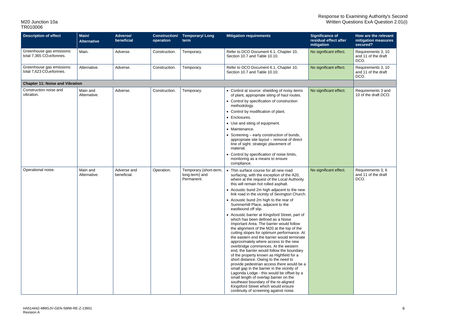| <b>Description of effect</b>                                       | Main/<br><b>Alternative</b> | <b>Adverse/</b><br>beneficial | <b>Construction/</b><br>operation | <b>Temporary/Long</b><br>term                          | <b>Mitigation requirements</b>                                                                                                                                                                                                                                                                                                                                                                                                                                                                                                                                                                                                                                                                                                                                                                                                                                                                                                                                                                                                                                                                                                                                                                   | <b>Significance of</b><br>residual effect after<br>mitigation | How are the relevant<br>mitigation measures<br>secured? |
|--------------------------------------------------------------------|-----------------------------|-------------------------------|-----------------------------------|--------------------------------------------------------|--------------------------------------------------------------------------------------------------------------------------------------------------------------------------------------------------------------------------------------------------------------------------------------------------------------------------------------------------------------------------------------------------------------------------------------------------------------------------------------------------------------------------------------------------------------------------------------------------------------------------------------------------------------------------------------------------------------------------------------------------------------------------------------------------------------------------------------------------------------------------------------------------------------------------------------------------------------------------------------------------------------------------------------------------------------------------------------------------------------------------------------------------------------------------------------------------|---------------------------------------------------------------|---------------------------------------------------------|
| Greenhouse gas emissions:<br>total 7,365 CO <sub>2</sub> e/tonnes. | Main.                       | Adverse.                      | Construction.                     | Temporary.                                             | Refer to DCO Document 6.1, Chapter 10,<br>Section 10.7 and Table 10.10.                                                                                                                                                                                                                                                                                                                                                                                                                                                                                                                                                                                                                                                                                                                                                                                                                                                                                                                                                                                                                                                                                                                          | No significant effect.                                        | Requirements 3, 10<br>and 11 of the draft<br>DCO.       |
| Greenhouse gas emissions:<br>total 7,623 CO <sub>2</sub> e/tonnes. | Alternative.                | Adverse.                      | Construction.                     | Temporary.                                             | Refer to DCO Document 6.1, Chapter 10,<br>Section 10.7 and Table 10.10.                                                                                                                                                                                                                                                                                                                                                                                                                                                                                                                                                                                                                                                                                                                                                                                                                                                                                                                                                                                                                                                                                                                          | No significant effect.                                        | Requirements 3, 10<br>and 11 of the draft<br>DCO.       |
| <b>Chapter 11: Noise and Vibration</b>                             |                             |                               |                                   |                                                        |                                                                                                                                                                                                                                                                                                                                                                                                                                                                                                                                                                                                                                                                                                                                                                                                                                                                                                                                                                                                                                                                                                                                                                                                  |                                                               |                                                         |
| Construction noise and<br>vibration.                               | Main and<br>Alternative.    | Adverse.                      | Construction.                     | Temporary.                                             | • Control at source: shielding of noisy items<br>of plant, appropriate siting of haul routes.<br>• Control by specification of construction<br>methodology.<br>• Control by modification of plant.<br>• Enclosures.<br>• Use and siting of equipment.<br>• Maintenance.<br>• Screening – early construction of bunds,<br>appropriate site layout - removal of direct<br>line of sight; strategic placement of<br>material.<br>• Control by specification of noise limits,<br>monitoring as a means to ensure<br>compliance.                                                                                                                                                                                                                                                                                                                                                                                                                                                                                                                                                                                                                                                                      | No significant effect.                                        | Requirements 3 and<br>10 of the draft DCO.              |
| Operational noise.                                                 | Main and<br>Alternative.    | Adverse and<br>beneficial.    | Operation.                        | Temporary (short-term,<br>long-term) and<br>Permanent. | • Thin surface course for all new road<br>surfacing, with the exception of the A20,<br>where at the request of the Local Authority<br>this will remain hot rolled asphalt.<br>• Acoustic bund 2m high adjacent to the new<br>link road in the vicinity of Sevington Church.<br>• Acoustic bund 2m high to the rear of<br>Summerhill Place, adjacent to the<br>eastbound off slip.<br>• Acoustic barrier at Kingsford Street, part of<br>which has been defined as a Noise<br>Important Area. The barrier would follow<br>the alignment of the M20 at the top of the<br>cutting slopes for optimum performance. At<br>the eastern end the barrier would terminate<br>approximately where access to the new<br>overbridge commences. At the western<br>end, the barrier would follow the boundary<br>of the property known as Highfield for a<br>short distance. Owing to the need to<br>provide pedestrian access there would be a<br>small gap in the barrier in the vicinity of<br>Lagonda Lodge - this would be offset by a<br>small length of overlap barrier on the<br>southeast boundary of the re-aligned<br>Kingsford Street which would ensure<br>continuity of screening against noise. | No significant effect.                                        | Requirements 3, 6<br>and 11 of the draft<br>DCO.        |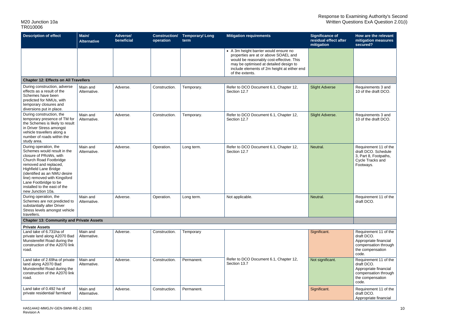| <b>Description of effect</b>                                                                                                                                                                                                                                                                                    | Main/<br><b>Alternative</b> | <b>Adverse/</b><br>beneficial | operation     | <b>Construction/ Temporary/Long</b><br><b>term</b> | <b>Mitigation requirements</b>                                                                                                                                                                                                        | <b>Significance of</b><br>residual effect after<br>mitigation | How are the relevant<br>mitigation measures<br>secured?                                                           |
|-----------------------------------------------------------------------------------------------------------------------------------------------------------------------------------------------------------------------------------------------------------------------------------------------------------------|-----------------------------|-------------------------------|---------------|----------------------------------------------------|---------------------------------------------------------------------------------------------------------------------------------------------------------------------------------------------------------------------------------------|---------------------------------------------------------------|-------------------------------------------------------------------------------------------------------------------|
|                                                                                                                                                                                                                                                                                                                 |                             |                               |               |                                                    | • A 3m height barrier would ensure no<br>properties are at or above SOAEL and<br>would be reasonably cost-effective. This<br>may be optimised at detailed design to<br>include elements of 2m height at either end<br>of the extents. |                                                               |                                                                                                                   |
| <b>Chapter 12: Effects on All Travellers</b>                                                                                                                                                                                                                                                                    |                             |                               |               |                                                    |                                                                                                                                                                                                                                       |                                                               |                                                                                                                   |
| During construction, adverse<br>effects as a result of the<br>Schemes have been<br>predicted for NMUs, with<br>temporary closures and<br>diversions put in place.                                                                                                                                               | Main and<br>Alternative.    | Adverse.                      | Construction. | Temporary.                                         | Refer to DCO Document 6.1, Chapter 12,<br>Section 12.7                                                                                                                                                                                | <b>Slight Adverse</b>                                         | Requirements 3 and<br>10 of the draft DCO.                                                                        |
| During construction, the<br>temporary presence of TM for<br>the Schemes is likely to result<br>in Driver Stress amongst<br>vehicle travellers along a<br>number of roads within the<br>study area.                                                                                                              | Main and<br>Alternative.    | Adverse.                      | Construction. | Temporary.                                         | Refer to DCO Document 6.1, Chapter 12,<br>Section 12.7                                                                                                                                                                                | Slight Adverse.                                               | Requirements 3 and<br>10 of the draft DCO.                                                                        |
| During operation, the<br>Schemes would result in the<br>closure of PRoWs, with<br>Church Road Footbridge<br>removed and replaced,<br><b>Highfield Lane Bridge</b><br>(identified as an NMU desire<br>line) removed with Kingsford<br>Lane Footbridge to be<br>installed to the east of the<br>new Junction 10a. | Main and<br>Alternative.    | Adverse.                      | Operation.    | Long term.                                         | Refer to DCO Document 6.1, Chapter 12,<br>Section 12.7                                                                                                                                                                                | Neutral.                                                      | Requirement 11 of the<br>draft DCO. Schedule<br>3, Part 8, Footpaths,<br>Cycle Tracks and<br>Footways.            |
| During operation, the<br>Schemes are not predicted to<br>substantially alter Driver<br>Stress levels amongst vehicle<br>travellers.                                                                                                                                                                             | Main and<br>Alternative.    | Adverse.                      | Operation.    | Long term.                                         | Not applicable.                                                                                                                                                                                                                       | Neutral.                                                      | Requirement 11 of the<br>draft DCO.                                                                               |
| <b>Chapter 13: Community and Private Assets</b>                                                                                                                                                                                                                                                                 |                             |                               |               |                                                    |                                                                                                                                                                                                                                       |                                                               |                                                                                                                   |
| <b>Private Assets</b>                                                                                                                                                                                                                                                                                           |                             |                               |               |                                                    |                                                                                                                                                                                                                                       |                                                               |                                                                                                                   |
| Land take of 6.731ha of<br>private land along A2070 Bad<br>Munstereifel Road during the<br>construction of the A2070 link<br>road.                                                                                                                                                                              | Main and<br>Alternative.    | Adverse.                      | Construction. | Temporary                                          |                                                                                                                                                                                                                                       | Significant.                                                  | Requirement 11 of the<br>draft DCO.<br>Appropriate financial<br>compensation through<br>the compensation<br>code. |
| Land take of 2.69ha of private<br>land along A2070 Bad<br>Munstereifel Road during the<br>construction of the A2070 link<br>road.                                                                                                                                                                               | Main and<br>Alternative.    | Adverse.                      | Construction. | Permanent.                                         | Refer to DCO Document 6.1, Chapter 12,<br>Section 13.7                                                                                                                                                                                | Not significant.                                              | Requirement 11 of the<br>draft DCO.<br>Appropriate financial<br>compensation through<br>the compensation<br>code. |
| Land take of 0.492 ha of<br>private residential/ farmland                                                                                                                                                                                                                                                       | Main and<br>Alternative.    | Adverse.                      | Construction. | Permanent.                                         |                                                                                                                                                                                                                                       | Significant.                                                  | Requirement 11 of the<br>draft DCO.<br>Appropriate financial                                                      |

| <b>Significance of</b><br>residual effect after<br>mitigation | How are the relevant<br>mitigation measures<br>secured?                                                           |
|---------------------------------------------------------------|-------------------------------------------------------------------------------------------------------------------|
|                                                               |                                                                                                                   |
|                                                               |                                                                                                                   |
| <b>Slight Adverse</b>                                         | Requirements 3 and<br>10 of the draft DCO.                                                                        |
| Slight Adverse.                                               | Requirements 3 and<br>10 of the draft DCO.                                                                        |
| Neutral.                                                      | Requirement 11 of the<br>draft DCO. Schedule<br>3, Part 8, Footpaths,<br>Cycle Tracks and<br>Footways.            |
| Neutral.                                                      | Requirement 11 of the<br>draft DCO.                                                                               |
|                                                               |                                                                                                                   |
| Significant.                                                  | Requirement 11 of the<br>draft DCO.<br>Appropriate financial<br>compensation through<br>the compensation<br>code. |
| Not significant.                                              | Requirement 11 of the<br>draft DCO.<br>Appropriate financial<br>compensation through<br>the compensation<br>code. |
| Significant.                                                  | Requirement 11 of the<br>draft DCO.<br>Appropriate financial                                                      |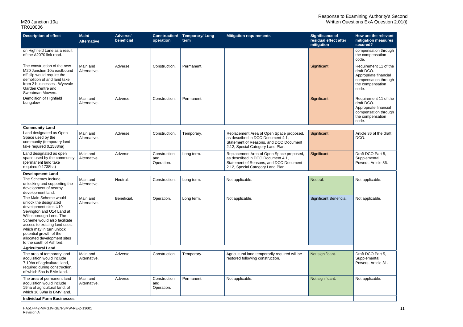| <b>Significance of</b><br>residual effect after<br>mitigation | <b>How are the relevant</b><br>mitigation measures<br>secured?                                                    |
|---------------------------------------------------------------|-------------------------------------------------------------------------------------------------------------------|
|                                                               | compensation through<br>the compensation<br>code.                                                                 |
| Significant.                                                  | Requirement 11 of the<br>draft DCO.<br>Appropriate financial<br>compensation through<br>the compensation<br>code. |
| Significant.                                                  | Requirement 11 of the<br>draft DCO.<br>Appropriate financial<br>compensation through<br>the compensation<br>code. |
| Significant.                                                  | Article 36 of the draft<br>DCO.                                                                                   |
| Significant.                                                  | Draft DCO Part 5,<br>Supplemental<br>Powers, Article 36.                                                          |
| Neutral.                                                      | Not applicable.                                                                                                   |
| Significant Beneficial.                                       | Not applicable.                                                                                                   |
|                                                               |                                                                                                                   |
| Not significant.                                              | Draft DCO Part 5,<br>Supplemental<br>Powers, Article 31.                                                          |
| Not significant.                                              | Not applicable.                                                                                                   |
|                                                               |                                                                                                                   |

| <b>Description of effect</b>                                                                                                                                                                                                                                                                                       | Main/<br><b>Alternative</b> | <b>Adverse/</b><br>beneficial | <b>Construction/</b><br>operation | <b>Temporary/Long</b><br>term | <b>Mitigation requirements</b>                                                                                                                               | <b>Significance of</b><br>residual effect after<br>mitigation | How are the relevant<br>mitigation measures<br>secured?                                                           |
|--------------------------------------------------------------------------------------------------------------------------------------------------------------------------------------------------------------------------------------------------------------------------------------------------------------------|-----------------------------|-------------------------------|-----------------------------------|-------------------------------|--------------------------------------------------------------------------------------------------------------------------------------------------------------|---------------------------------------------------------------|-------------------------------------------------------------------------------------------------------------------|
| on Highfield Lane as a result<br>of the A2070 link road.                                                                                                                                                                                                                                                           |                             |                               |                                   |                               |                                                                                                                                                              |                                                               | compensation through<br>the compensation<br>code.                                                                 |
| The construction of the new<br>M20 Junction 10a eastbound<br>off slip would require the<br>demolition of and land take<br>from 2 businesses - Wyevale<br>Garden Centre and<br>Sweatman Mowers.                                                                                                                     | Main and<br>Alternative.    | Adverse.                      | Construction.                     | Permanent.                    |                                                                                                                                                              | Significant.                                                  | Requirement 11 of the<br>draft DCO.<br>Appropriate financial<br>compensation through<br>the compensation<br>code. |
| Demolition of Highfield<br>bungalow                                                                                                                                                                                                                                                                                | Main and<br>Alternative.    | Adverse.                      | Construction.                     | Permanent.                    |                                                                                                                                                              | Significant.                                                  | Requirement 11 of the<br>draft DCO.<br>Appropriate financial<br>compensation through<br>the compensation<br>code. |
| <b>Community Land</b>                                                                                                                                                                                                                                                                                              |                             |                               |                                   |                               |                                                                                                                                                              |                                                               |                                                                                                                   |
| Land designated as Open<br>Space used by the<br>community (temporary land<br>take required 0.1588ha)                                                                                                                                                                                                               | Main and<br>Alternative.    | Adverse.                      | Construction.                     | Temporary.                    | Replacement Area of Open Space proposed,<br>as described in DCO Document 4.1,<br>Statement of Reasons, and DCO Document<br>2.12, Special Category Land Plan. | Significant.                                                  | Article 36 of the draft<br>DCO.                                                                                   |
| Land designated as open<br>space used by the community<br>(permanent land take<br>required 0.1738ha)                                                                                                                                                                                                               | Main and<br>Alternative.    | Adverse.                      | Construction<br>and<br>Operation. | Long term.                    | Replacement Area of Open Space proposed,<br>as described in DCO Document 4.1,<br>Statement of Reasons, and DCO Document<br>2.12, Special Category Land Plan. | Significant.                                                  | Draft DCO Part 5,<br>Supplemental<br>Powers, Article 36.                                                          |
| <b>Development Land</b>                                                                                                                                                                                                                                                                                            |                             |                               |                                   |                               |                                                                                                                                                              |                                                               |                                                                                                                   |
| The Schemes include<br>unlocking and supporting the<br>development of nearby<br>development land.                                                                                                                                                                                                                  | Main and<br>Alternative.    | Neutral.                      | Construction.                     | Long term.                    | Not applicable.                                                                                                                                              | Neutral.                                                      | Not applicable.                                                                                                   |
| The Main Scheme would<br>unlock the designated<br>development sites U19<br>Sevington and U14 Land at<br>Willesborough Lees. The<br>Scheme would also facilitate<br>access to existing land uses,<br>which may in turn unlock<br>potential growth of the<br>allocated development sites<br>to the south of Ashford. | Main and<br>Alternative.    | Beneficial.                   | Operation.                        | Long term.                    | Not applicable.                                                                                                                                              | Significant Beneficial.                                       | Not applicable.                                                                                                   |
| <b>Agricultural Land</b>                                                                                                                                                                                                                                                                                           |                             |                               |                                   |                               |                                                                                                                                                              |                                                               |                                                                                                                   |
| The area of temporary land<br>acquisition would include<br>7.19ha of agricultural land,<br>required during construction,<br>of which 5ha is BMV land.                                                                                                                                                              | Main and<br>Alternative.    | Adverse                       | Construction.                     | Temporary.                    | Agricultural land temporarily required will be<br>restored following construction.                                                                           | Not significant.                                              | Draft DCO Part 5,<br>Supplemental<br>Powers, Article 31.                                                          |
| The area of permanent land<br>acquisition would include<br>19ha of agricultural land, of<br>which 18.39ha is BMV land.                                                                                                                                                                                             | Main and<br>Alternative.    | Adverse                       | Construction<br>and<br>Operation. | Permanent.                    | Not applicable.                                                                                                                                              | Not significant.                                              | Not applicable.                                                                                                   |
| <b>Individual Farm Businesses</b>                                                                                                                                                                                                                                                                                  |                             |                               |                                   |                               |                                                                                                                                                              |                                                               |                                                                                                                   |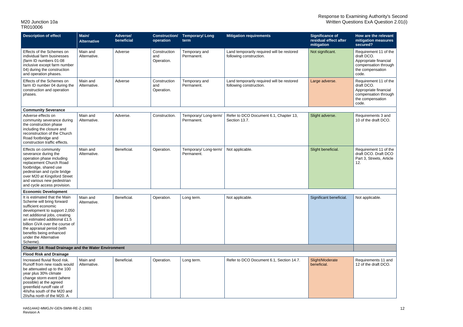| <b>Description of effect</b>                                                                                                                                                                                                                                                                                       | Main/<br><b>Alternative</b> | <b>Adverse/</b><br>beneficial | <b>Construction/</b><br>operation | <b>Temporary/Long</b><br>term      | <b>Mitigation requirements</b>                                        | <b>Significance of</b><br>residual effect after<br>mitigation | <b>How are the relevant</b><br>mitigation measures<br>secured?                                                    |
|--------------------------------------------------------------------------------------------------------------------------------------------------------------------------------------------------------------------------------------------------------------------------------------------------------------------|-----------------------------|-------------------------------|-----------------------------------|------------------------------------|-----------------------------------------------------------------------|---------------------------------------------------------------|-------------------------------------------------------------------------------------------------------------------|
| Effects of the Schemes on<br>individual farm businesses<br>(farm ID numbers 01-08<br>inclusive except farm number<br>04) during the construction<br>and operation phases.                                                                                                                                          | Main and<br>Alternative.    | Adverse                       | Construction<br>and<br>Operation. | Temporary and<br>Permanent.        | Land temporarily required will be restored<br>following construction. | Not significant.                                              | Requirement 11 of the<br>draft DCO.<br>Appropriate financial<br>compensation through<br>the compensation<br>code. |
| Effects of the Schemes on<br>farm ID number 04 during the<br>construction and operation<br>phases.                                                                                                                                                                                                                 | Main and<br>Alternative.    | Adverse                       | Construction<br>and<br>Operation. | Temporary and<br>Permanent.        | Land temporarily required will be restored<br>following construction. | Large adverse.                                                | Requirement 11 of the<br>draft DCO.<br>Appropriate financial<br>compensation through<br>the compensation<br>code. |
| <b>Community Severance</b>                                                                                                                                                                                                                                                                                         |                             |                               |                                   |                                    |                                                                       |                                                               |                                                                                                                   |
| Adverse effects on<br>community severance during<br>the construction phase<br>including the closure and<br>reconstruction of the Church<br>Road footbridge and<br>construction traffic effects.                                                                                                                    | Main and<br>Alternative.    | Adverse.                      | Construction.                     | Temporary/Long-term/<br>Permanent. | Refer to DCO Document 6.1, Chapter 13,<br>Section 13.7.               | Slight adverse.                                               | Requirements 3 and<br>10 of the draft DCO.                                                                        |
| Effects on community<br>severance during the<br>operation phase including<br>replacement Church Road<br>footbridge, shared use<br>pedestrian and cycle bridge<br>over M20 at Kingsford Street<br>and various new pedestrian<br>and cycle access provision.                                                         | Main and<br>Alternative.    | Beneficial.                   | Operation.                        | Temporary/Long-term/<br>Permanent. | Not applicable.                                                       | Slight beneficial.                                            | Requirement 11 of the<br>draft DCO. Draft DCO<br>Part 3, Streets, Article<br>12.                                  |
| <b>Economic Development</b>                                                                                                                                                                                                                                                                                        |                             |                               |                                   |                                    |                                                                       |                                                               |                                                                                                                   |
| It is estimated that the Main<br>Scheme will bring forward<br>sufficient economic<br>development to support 2,050<br>net additional jobs, creating<br>an estimated additional £1.5<br>billion GVA over the course of<br>the appraisal period (with<br>benefits being enhanced<br>under the Alternative<br>Scheme). | Main and<br>Alternative.    | Beneficial.                   | Operation.                        | Long term.                         | Not applicable.                                                       | Significant beneficial.                                       | Not applicable.                                                                                                   |
| <b>Chapter 14: Road Drainage and the Water Environment</b>                                                                                                                                                                                                                                                         |                             |                               |                                   |                                    |                                                                       |                                                               |                                                                                                                   |
| <b>Flood Risk and Drainage</b>                                                                                                                                                                                                                                                                                     |                             |                               |                                   |                                    |                                                                       |                                                               |                                                                                                                   |
| Increased fluvial flood risk.<br>Runoff from new roads would<br>be attenuated up to the 100<br>year plus 30% climate<br>change storm event (where<br>possible) at the agreed<br>greenfield runoff rate of<br>4l/s/ha south of the M20 and<br>2l/s/ha north of the M20. A                                           | Main and<br>Alternative.    | Beneficial.                   | Operation.                        | Long term.                         | Refer to DCO Document 6.1, Section 14.7.                              | Slight/Moderate<br>beneficial.                                | Requirements 11 and<br>12 of the draft DCO.                                                                       |

| <b>Significance of</b><br>residual effect after<br>mitigation | <b>How are the relevant</b><br>mitigation measures<br>secured?                                                    |
|---------------------------------------------------------------|-------------------------------------------------------------------------------------------------------------------|
| Not significant.                                              | Requirement 11 of the<br>draft DCO.<br>Appropriate financial<br>compensation through<br>the compensation<br>code. |
| Large adverse.                                                | Requirement 11 of the<br>draft DCO.<br>Appropriate financial<br>compensation through<br>the compensation<br>code. |
| Slight adverse.                                               | Requirements 3 and<br>10 of the draft DCO.                                                                        |
| Slight beneficial.                                            | Requirement 11 of the<br>draft DCO. Draft DCO<br>Part 3, Streets, Article<br>12.                                  |
| Significant beneficial.                                       | Not applicable.                                                                                                   |
|                                                               |                                                                                                                   |
| Slight/Moderate<br>beneficial.                                | Requirements 11 and<br>12 of the draft DCO.                                                                       |